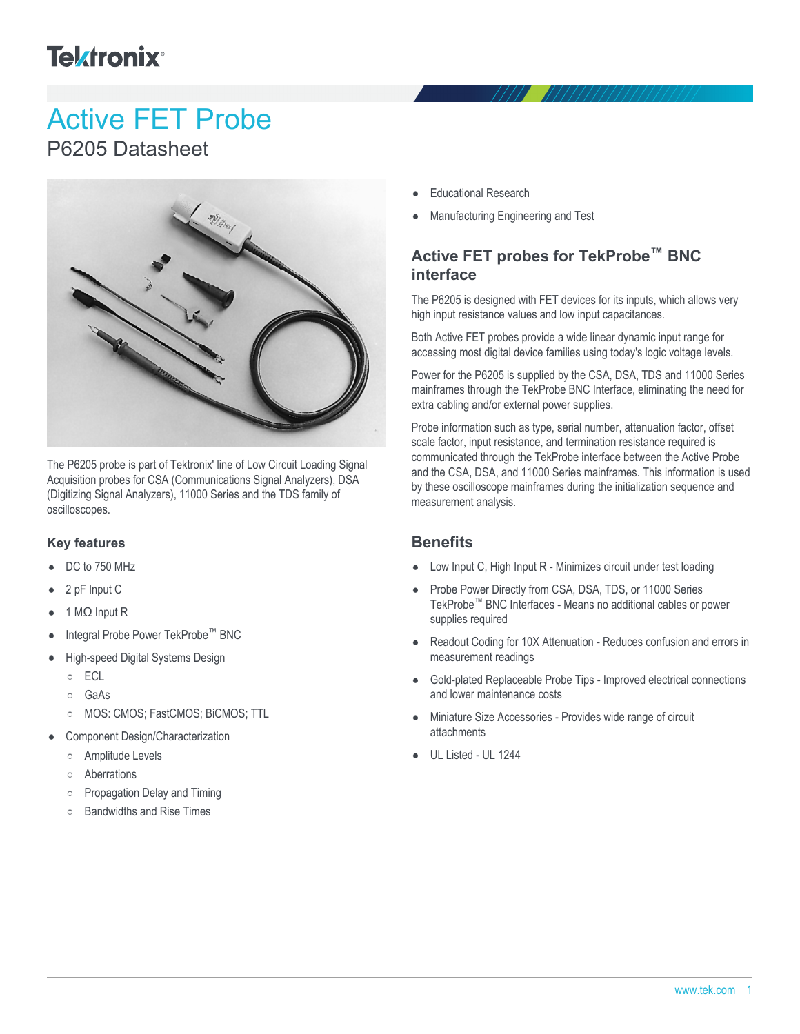## **Tektronix**<sup>®</sup>

# Active FET Probe

### P6205 Datasheet



The P6205 probe is part of Tektronix' line of Low Circuit Loading Signal Acquisition probes for CSA (Communications Signal Analyzers), DSA (Digitizing Signal Analyzers), 11000 Series and the TDS family of oscilloscopes.

#### **Key features**

- DC to 750 MHz
- 2 pF Input C
- 1 MΩ Input R
- Integral Probe Power TekProbe™ BNC
- High-speed Digital Systems Design
	- o ECL
	- GaAs
	- MOS: CMOS; FastCMOS; BiCMOS; TTL  $\circ$
- Component Design/Characterization
	- Amplitude Levels  $\circ$
	- Aberrations  $\circ$
	- $\circ$ Propagation Delay and Timing
	- Bandwidths and Rise Times  $\circ$
- Educational Research
- Manufacturing Engineering and Test

#### **Active FET probes for TekProbe™ BNC interface**

The P6205 is designed with FET devices for its inputs, which allows very high input resistance values and low input capacitances.

Both Active FET probes provide a wide linear dynamic input range for accessing most digital device families using today's logic voltage levels.

Power for the P6205 is supplied by the CSA, DSA, TDS and 11000 Series mainframes through the TekProbe BNC Interface, eliminating the need for extra cabling and/or external power supplies.

Probe information such as type, serial number, attenuation factor, offset scale factor, input resistance, and termination resistance required is communicated through the TekProbe interface between the Active Probe and the CSA, DSA, and 11000 Series mainframes. This information is used by these oscilloscope mainframes during the initialization sequence and measurement analysis.

#### **Benefits**

- Low Input C, High Input R Minimizes circuit under test loading
- Probe Power Directly from CSA, DSA, TDS, or 11000 Series TekProbe™ BNC Interfaces - Means no additional cables or power supplies required
- Readout Coding for 10X Attenuation Reduces confusion and errors in measurement readings
- Gold-plated Replaceable Probe Tips Improved electrical connections and lower maintenance costs
- Miniature Size Accessories Provides wide range of circuit attachments
- UL Listed UL 1244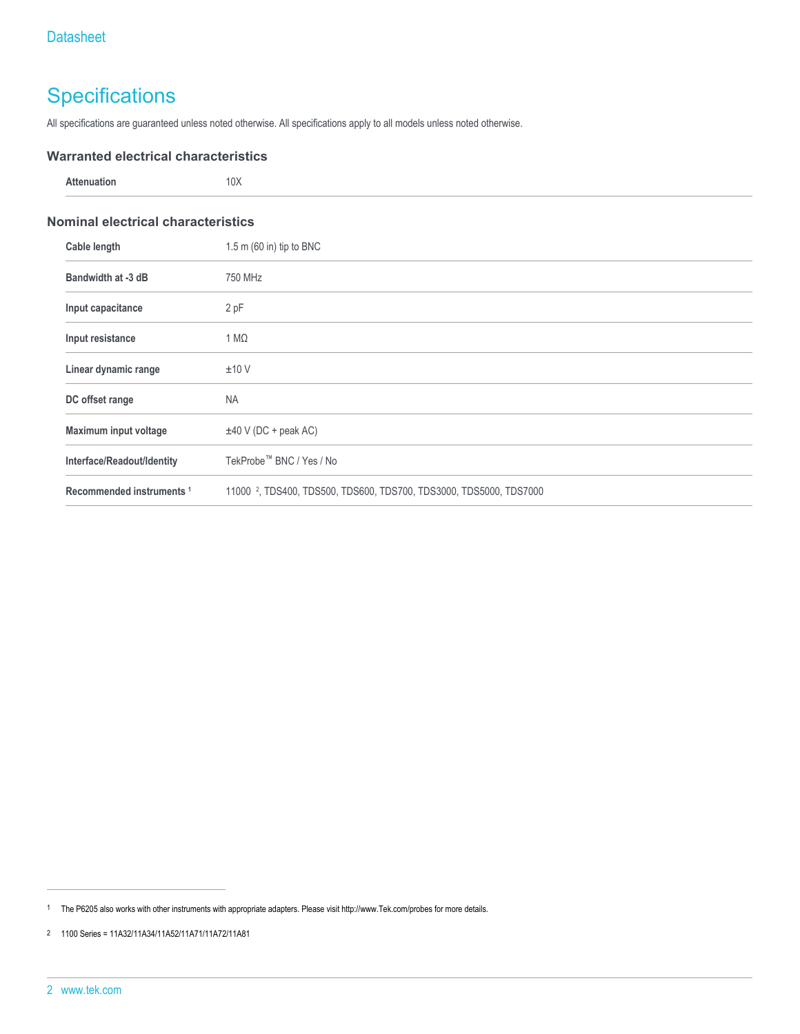### **Specifications**

All specifications are guaranteed unless noted otherwise. All specifications apply to all models unless noted otherwise.

#### **Warranted electrical characteristics**

| Attenuation                               | 10X                      |  |
|-------------------------------------------|--------------------------|--|
| <b>Nominal electrical characteristics</b> |                          |  |
| Cable length                              | 1.5 m (60 in) tip to BNC |  |
| Bandwidth at -3 dB                        | 750 MHz                  |  |
|                                           |                          |  |

| Input capacitance                    | 2 pF                                                                           |  |
|--------------------------------------|--------------------------------------------------------------------------------|--|
| Input resistance                     | $1 M\Omega$                                                                    |  |
| Linear dynamic range                 | ±10V                                                                           |  |
| DC offset range                      | <b>NA</b>                                                                      |  |
| Maximum input voltage                | $\pm$ 40 V (DC + peak AC)                                                      |  |
| Interface/Readout/Identity           | TekProbe™ BNC / Yes / No                                                       |  |
| Recommended instruments <sup>1</sup> | 11000 <sup>2</sup> , TDS400, TDS500, TDS600, TDS700, TDS3000, TDS5000, TDS7000 |  |

<sup>1</sup> The P6205 also works with other instruments with appropriate adapters. Please visit http://www.Tek.com/probes for more details.

<sup>2</sup> 1100 Series = 11A32/11A34/11A52/11A71/11A72/11A81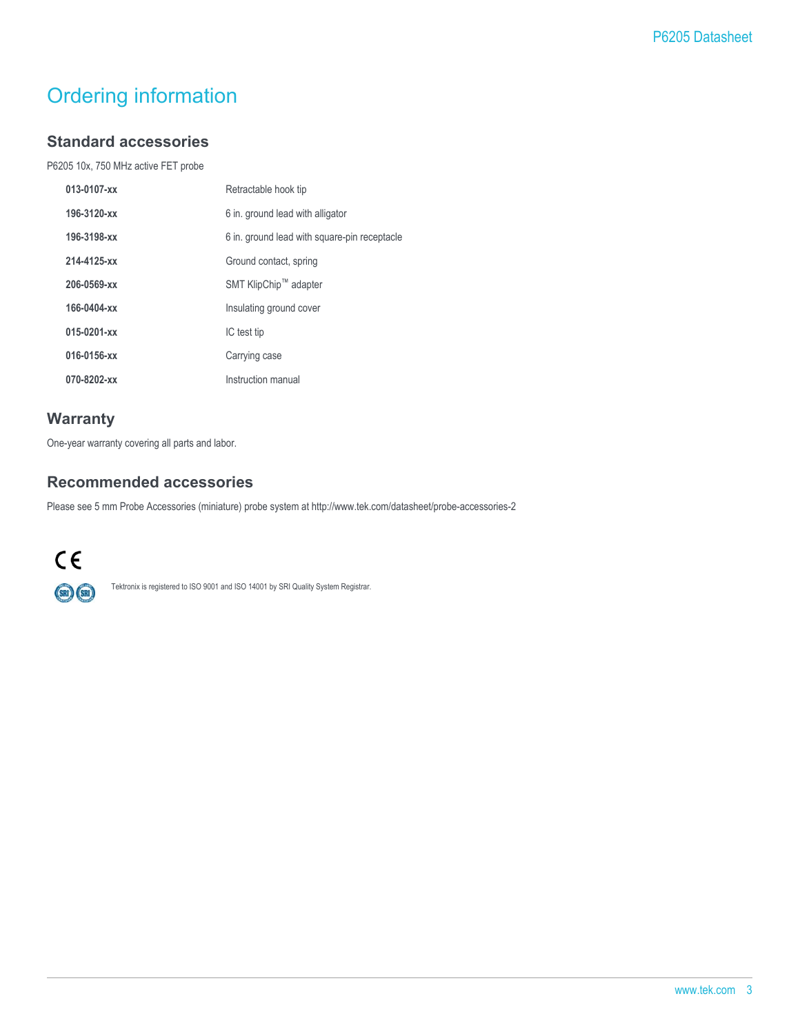### Ordering information

#### **Standard accessories**

P6205 10x, 750 MHz active FET probe

| 013-0107-xx | Retractable hook tip                         |
|-------------|----------------------------------------------|
| 196-3120-xx | 6 in. ground lead with alligator             |
| 196-3198-xx | 6 in. ground lead with square-pin receptacle |
| 214-4125-xx | Ground contact, spring                       |
| 206-0569-xx | SMT KlipChip™ adapter                        |
| 166-0404-xx | Insulating ground cover                      |
| 015-0201-xx | IC test tip                                  |
| 016-0156-xx | Carrying case                                |
| 070-8202-xx | Instruction manual                           |
|             |                                              |

#### **Warranty**

One-year warranty covering all parts and labor.

#### **Recommended accessories**

Please see 5 mm Probe Accessories (miniature) probe system at http://www.tek.com/datasheet/probe-accessories-2



Tektronix is registered to ISO 9001 and ISO 14001 by SRI Quality System Registrar.